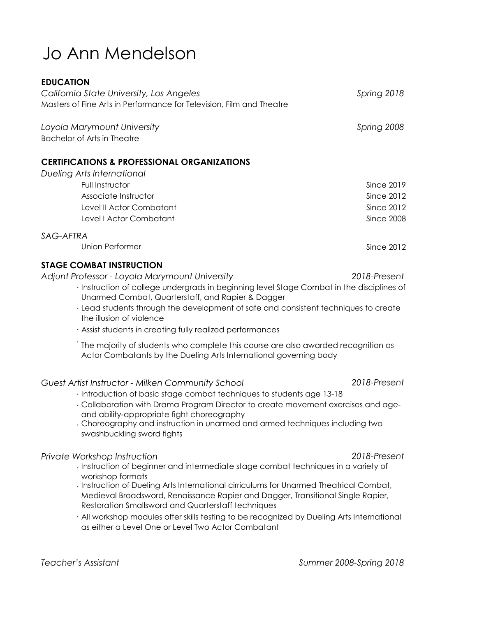# Jo Ann Mendelson

#### **EDUCATION**

| California State University, Los Angeles<br>Masters of Fine Arts in Performance for Television, Film and Theatre | Spring 2018 |
|------------------------------------------------------------------------------------------------------------------|-------------|
| Loyola Marymount University                                                                                      | Spring 2008 |

Bachelor of Arts in Theatre

### **CERTIFICATIONS & PROFESSIONAL ORGANIZATIONS**

| Dueling Arts International |            |
|----------------------------|------------|
| Full Instructor            | Since 2019 |
| Associate Instructor       | Since 2012 |
| Level II Actor Combatant   | Since 2012 |
| Level I Actor Combatant    | Since 2008 |
| SAG-AFTRA                  |            |

## Union Performer

### **STAGE COMBAT INSTRUCTION**

*Adjunt Professor - Loyola Marymount University*

- · Instruction of college undergrads in beginning level Stage Combat in the disciplines of Unarmed Combat, Quarterstaff, and Rapier & Dagger
- · Lead students through the development of safe and consistent techniques to create the illusion of violence
- · Assist students in creating fully realized performances
- · The majority of students who complete this course are also awarded recognition as Actor Combatants by the Dueling Arts International governing body

#### *Guest Artist Instructor - Milken Community School 2018-Present*

- · Introduction of basic stage combat techniques to students age 13-18
- · Collaboration with Drama Program Director to create movement exercises and ageand ability-appropriate fight choreography
- · Choreography and instruction in unarmed and armed techniques including two swashbuckling sword fights

#### *Private Workshop Instruction*

- · Instruction of beginner and intermediate stage combat techniques in a variety of workshop formats
- · Instruction of Dueling Arts International cirriculums for Unarmed Theatrical Combat, Medieval Broadsword, Renaissance Rapier and Dagger, Transitional Single Rapier, Restoration Smallsword and Quarterstaff techniques
- · All workshop modules offer skills testing to be recognized by Dueling Arts International as either a Level One or Level Two Actor Combatant

#### *Teacher's Assistant Summer 2008-Spring 2018*

*2018-Present*

Since 2012

*2018-Present*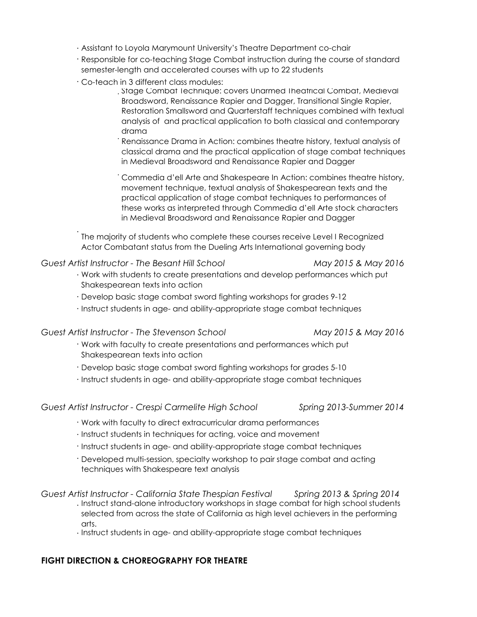- · Assistant to Loyola Marymount University's Theatre Department co-chair
- · Responsible for co-teaching Stage Combat instruction during the course of standard semester-length and accelerated courses with up to 22 students
- · Co-teach in 3 different class modules:
	- · Stage Combat Technique: covers Unarmed Theatrical Combat, Medieval Broadsword, Renaissance Rapier and Dagger, Transitional Single Rapier, Restoration Smallsword and Quarterstaff techniques combined with textual analysis of and practical application to both classical and contemporary drama
	- · Renaissance Drama in Action: combines theatre history, textual analysis of classical drama and the practical application of stage combat techniques in Medieval Broadsword and Renaissance Rapier and Dagger

· Commedia d'ell Arte and Shakespeare In Action: combines theatre history, movement technique, textual analysis of Shakespearean texts and the practical application of stage combat techniques to performances of these works as interpreted through Commedia d'ell Arte stock characters in Medieval Broadsword and Renaissance Rapier and Dagger

The majority of students who complete these courses receive Level I Recognized Actor Combatant status from the Dueling Arts International governing body

#### *Guest Artist Instructor - The Besant Hill School May 2015 & May 2016*

·

- · Work with students to create presentations and develop performances which put Shakespearean texts into action
- · Develop basic stage combat sword fighting workshops for grades 9-12
- · Instruct students in age- and ability-appropriate stage combat techniques

#### *Guest Artist Instructor - The Stevenson School May 2015 & May 2016*

- · Work with faculty to create presentations and performances which put Shakespearean texts into action
- · Develop basic stage combat sword fighting workshops for grades 5-10
- · Instruct students in age- and ability-appropriate stage combat techniques

*Guest Artist Instructor - Crespi Carmelite High School Spring 2013-Summer 2014*

- · Work with faculty to direct extracurricular drama performances
- · Instruct students in techniques for acting, voice and movement
- · Instruct students in age- and ability-appropriate stage combat techniques
- · Developed multi-session, specialty workshop to pair stage combat and acting techniques with Shakespeare text analysis

#### *Guest Artist Instructor - California State Thespian Festival Spring 2013 & Spring 2014*

- · Instruct stand-alone introductory workshops in stage combat for high school students selected from across the state of California as high level achievers in the performing arts.
- · Instruct students in age- and ability-appropriate stage combat techniques

### **FIGHT DIRECTION & CHOREOGRAPHY FOR THEATRE**